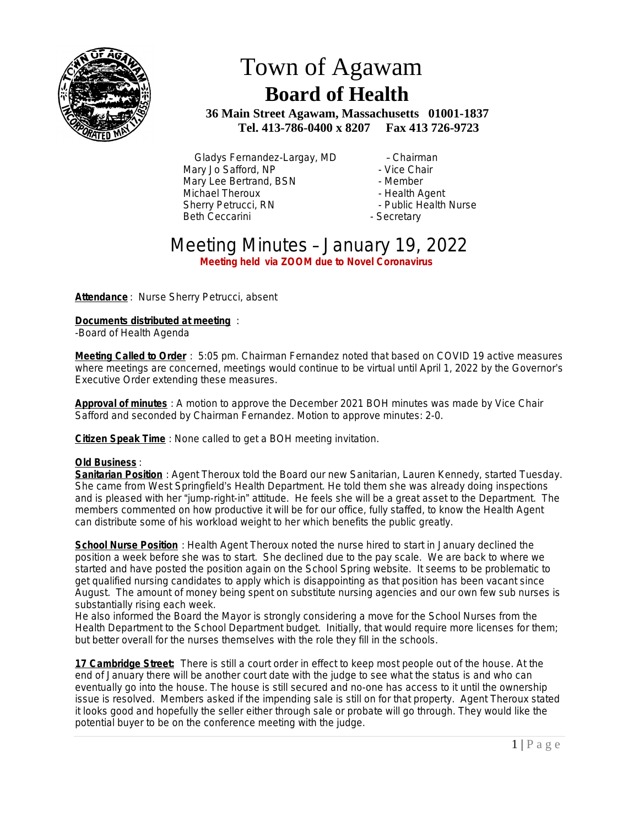

## Town of Agawam  **Board of Health**

 **36 Main Street Agawam, Massachusetts 01001-1837 Tel. 413-786-0400 x 8207 Fax 413 726-9723**

Gladys Fernandez-Largay, MD – Chairman<br>
arv Jo Safford, NP – Vice Chair Mary Jo Safford, NP - Vice Chair Mary Lee Bertrand, BSN<br>Michael Theroux Sherry Petrucci, RN Beth Ceccarini **- Secretary** 

- 
- Health Agent<br>- Public Health Nurse
- 
- 

## Meeting Minutes – January 19, 2022 **Meeting held via ZOOM due to Novel Coronavirus**

**Attendance** : Nurse Sherry Petrucci, absent

**Documents distributed at meeting** :

-Board of Health Agenda

**Meeting Called to Order** : 5:05 pm. Chairman Fernandez noted that based on COVID 19 active measures where meetings are concerned, meetings would continue to be virtual until April 1, 2022 by the Governor's Executive Order extending these measures.

**Approval of minutes** : A motion to approve the December 2021 BOH minutes was made by Vice Chair Safford and seconded by Chairman Fernandez. Motion to approve minutes: 2-0.

**Citizen Speak Time** : None called to get a BOH meeting invitation.

## **Old Business** :

**Sanitarian Position** : Agent Theroux told the Board our new Sanitarian, Lauren Kennedy, started Tuesday. She came from West Springfield's Health Department. He told them she was already doing inspections and is pleased with her "jump-right-in" attitude. He feels she will be a great asset to the Department. The members commented on how productive it will be for our office, fully staffed, to know the Health Agent can distribute some of his workload weight to her which benefits the public greatly.

**School Nurse Position** : Health Agent Theroux noted the nurse hired to start in January declined the position a week before she was to start. She declined due to the pay scale. We are back to where we started and have posted the position again on the School Spring website. It seems to be problematic to get qualified nursing candidates to apply which is disappointing as that position has been vacant since August. The amount of money being spent on substitute nursing agencies and our own few sub nurses is substantially rising each week.

He also informed the Board the Mayor is strongly considering a move for the School Nurses from the Health Department to the School Department budget. Initially, that would require more licenses for them; but better overall for the nurses themselves with the role they fill in the schools.

**17 Cambridge Street:** There is still a court order in effect to keep most people out of the house. At the end of January there will be another court date with the judge to see what the status is and who can eventually go into the house. The house is still secured and no-one has access to it until the ownership issue is resolved. Members asked if the impending sale is still on for that property. Agent Theroux stated it looks good and hopefully the seller either through sale or probate will go through. They would like the potential buyer to be on the conference meeting with the judge.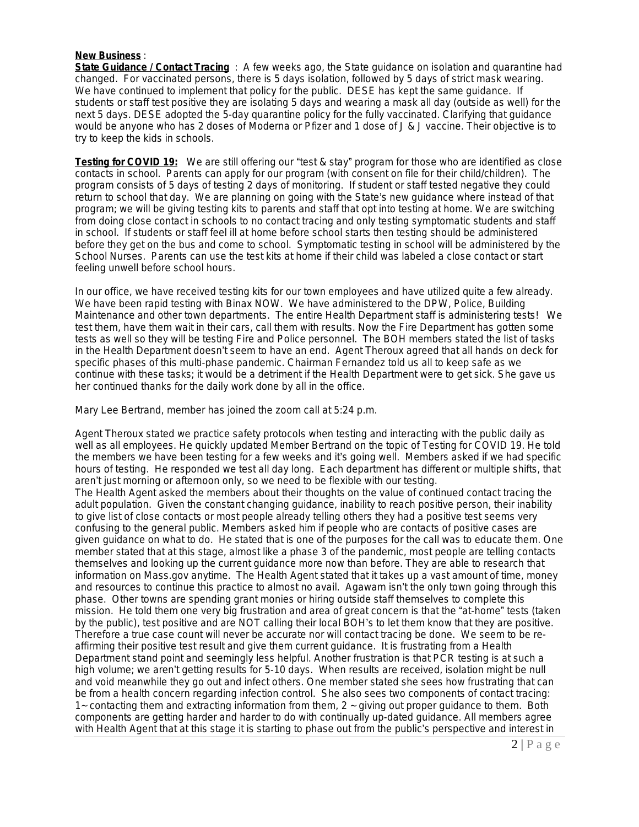## **New Business** :

**State Guidance / Contact Tracing** : A few weeks ago, the State guidance on isolation and quarantine had changed. For vaccinated persons, there is 5 days isolation, followed by 5 days of strict mask wearing. We have continued to implement that policy for the public. DESE has kept the same guidance. If students or staff test positive they are isolating 5 days and wearing a mask all day (outside as well) for the next 5 days. DESE adopted the 5-day quarantine policy for the fully vaccinated. Clarifying that guidance would be anyone who has 2 doses of Moderna or Pfizer and 1 dose of J & J vaccine. Their objective is to try to keep the kids in schools.

**Testing for COVID 19:** We are still offering our "test & stay" program for those who are identified as close contacts in school. Parents can apply for our program (with consent on file for their child/children). The program consists of 5 days of testing 2 days of monitoring. If student or staff tested negative they could return to school that day. We are planning on going with the State's new guidance where instead of that program; we will be giving testing kits to parents and staff that opt into testing at home. We are switching from doing close contact in schools to no contact tracing and only testing symptomatic students and staff in school. If students or staff feel ill at home before school starts then testing should be administered before they get on the bus and come to school. Symptomatic testing in school will be administered by the School Nurses. Parents can use the test kits at home if their child was labeled a close contact or start feeling unwell before school hours.

In our office, we have received testing kits for our town employees and have utilized quite a few already. We have been rapid testing with Binax NOW. We have administered to the DPW, Police, Building Maintenance and other town departments. The entire Health Department staff is administering tests! We test them, have them wait in their cars, call them with results. Now the Fire Department has gotten some tests as well so they will be testing Fire and Police personnel. The BOH members stated the list of tasks in the Health Department doesn't seem to have an end. Agent Theroux agreed that all hands on deck for specific phases of this multi-phase pandemic. Chairman Fernandez told us all to keep safe as we continue with these tasks; it would be a detriment if the Health Department were to get sick. She gave us her continued thanks for the daily work done by all in the office.

Mary Lee Bertrand, member has joined the zoom call at 5:24 p.m.

Agent Theroux stated we practice safety protocols when testing and interacting with the public daily as well as all employees. He quickly updated Member Bertrand on the topic of Testing for COVID 19. He told the members we have been testing for a few weeks and it's going well. Members asked if we had specific hours of testing. He responded we test all day long. Each department has different or multiple shifts, that aren't just morning or afternoon only, so we need to be flexible with our testing.

The Health Agent asked the members about their thoughts on the value of continued contact tracing the adult population. Given the constant changing guidance, inability to reach positive person, their inability to give list of close contacts or most people already telling others they had a positive test seems very confusing to the general public. Members asked him if people who are contacts of positive cases are given guidance on what to do. He stated that is one of the purposes for the call was to educate them. One member stated that at this stage, almost like a phase 3 of the pandemic, most people are telling contacts themselves and looking up the current guidance more now than before. They are able to research that information on Mass.gov anytime. The Health Agent stated that it takes up a vast amount of time, money and resources to continue this practice to almost no avail. Agawam isn't the only town going through this phase. Other towns are spending grant monies or hiring outside staff themselves to complete this mission. He told them one very big frustration and area of great concern is that the "at-home" tests (taken by the public), test positive and are NOT calling their local BOH's to let them know that they are positive. Therefore a true case count will never be accurate nor will contact tracing be done. We seem to be reaffirming their positive test result and give them current guidance. It is frustrating from a Health Department stand point and seemingly less helpful. Another frustration is that PCR testing is at such a high volume; we aren't getting results for 5-10 days. When results are received, isolation might be null and void meanwhile they go out and infect others. One member stated she sees how frustrating that can be from a health concern regarding infection control. She also sees two components of contact tracing: 1~ contacting them and extracting information from them, 2 ~ giving out proper guidance to them. Both components are getting harder and harder to do with continually up-dated guidance. All members agree with Health Agent that at this stage it is starting to phase out from the public's perspective and interest in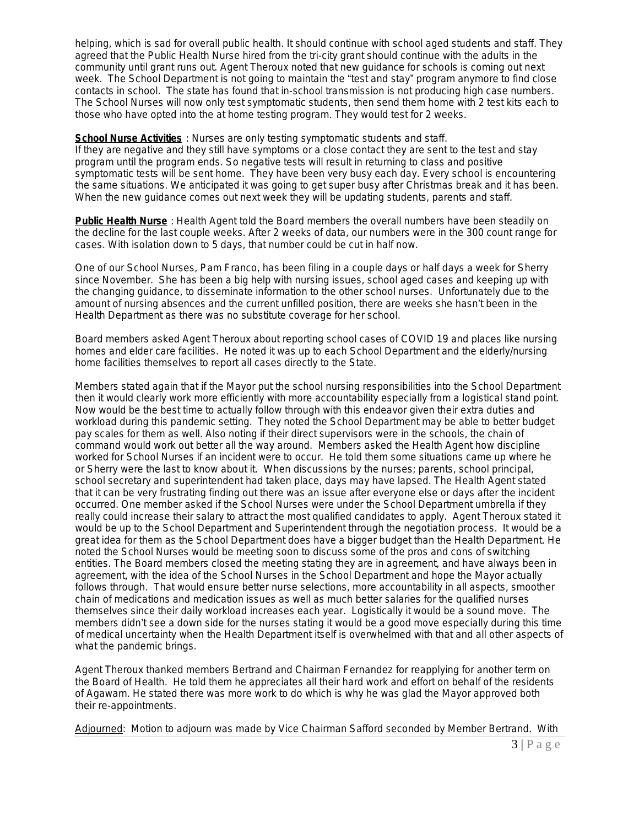helping, which is sad for overall public health. It should continue with school aged students and staff. They agreed that the Public Health Nurse hired from the tri-city grant should continue with the adults in the community until grant runs out. Agent Theroux noted that new guidance for schools is coming out next week. The School Department is not going to maintain the "test and stay" program anymore to find close contacts in school. The state has found that in-school transmission is not producing high case numbers. The School Nurses will now only test symptomatic students, then send them home with 2 test kits each to those who have opted into the at home testing program. They would test for 2 weeks.

**School Nurse Activities** : Nurses are only testing symptomatic students and staff. If they are negative and they still have symptoms or a close contact they are sent to the test and stay program until the program ends. So negative tests will result in returning to class and positive symptomatic tests will be sent home. They have been very busy each day. Every school is encountering the same situations. We anticipated it was going to get super busy after Christmas break and it has been. When the new guidance comes out next week they will be updating students, parents and staff.

**Public Health Nurse** : Health Agent told the Board members the overall numbers have been steadily on the decline for the last couple weeks. After 2 weeks of data, our numbers were in the 300 count range for cases. With isolation down to 5 days, that number could be cut in half now.

One of our School Nurses, Pam Franco, has been filing in a couple days or half days a week for Sherry since November. She has been a big help with nursing issues, school aged cases and keeping up with the changing guidance, to disseminate information to the other school nurses. Unfortunately due to the amount of nursing absences and the current unfilled position, there are weeks she hasn't been in the Health Department as there was no substitute coverage for her school.

Board members asked Agent Theroux about reporting school cases of COVID 19 and places like nursing homes and elder care facilities. He noted it was up to each School Department and the elderly/nursing home facilities themselves to report all cases directly to the State.

Members stated again that if the Mayor put the school nursing responsibilities into the School Department then it would clearly work more efficiently with more accountability especially from a logistical stand point. Now would be the best time to actually follow through with this endeavor given their extra duties and workload during this pandemic setting. They noted the School Department may be able to better budget pay scales for them as well. Also noting if their direct supervisors were in the schools, the chain of command would work out better all the way around. Members asked the Health Agent how discipline worked for School Nurses if an incident were to occur. He told them some situations came up where he or Sherry were the last to know about it. When discussions by the nurses; parents, school principal, school secretary and superintendent had taken place, days may have lapsed. The Health Agent stated that it can be very frustrating finding out there was an issue after everyone else or days after the incident occurred. One member asked if the School Nurses were under the School Department umbrella if they really could increase their salary to attract the most qualified candidates to apply. Agent Theroux stated it would be up to the School Department and Superintendent through the negotiation process. It would be a great idea for them as the School Department does have a bigger budget than the Health Department. He noted the School Nurses would be meeting soon to discuss some of the pros and cons of switching entities. The Board members closed the meeting stating they are in agreement, and have always been in agreement, with the idea of the School Nurses in the School Department and hope the Mayor actually follows through. That would ensure better nurse selections, more accountability in all aspects, smoother chain of medications and medication issues as well as much better salaries for the qualified nurses themselves since their daily workload increases each year. Logistically it would be a sound move. The members didn't see a down side for the nurses stating it would be a good move especially during this time of medical uncertainty when the Health Department itself is overwhelmed with that and all other aspects of what the pandemic brings.

Agent Theroux thanked members Bertrand and Chairman Fernandez for reapplying for another term on the Board of Health. He told them he appreciates all their hard work and effort on behalf of the residents of Agawam. He stated there was more work to do which is why he was glad the Mayor approved both their re-appointments.

Adjourned: Motion to adjourn was made by Vice Chairman Safford seconded by Member Bertrand. With